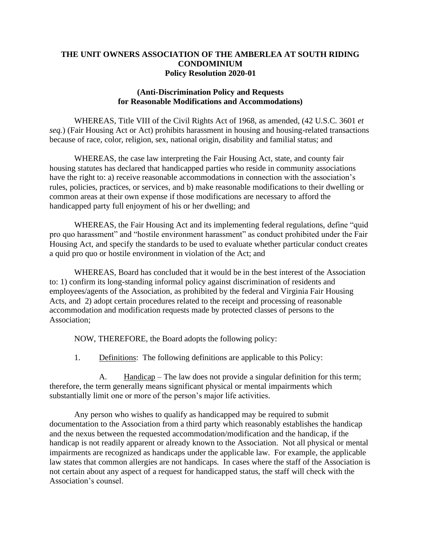### **THE UNIT OWNERS ASSOCIATION OF THE AMBERLEA AT SOUTH RIDING CONDOMINIUM Policy Resolution 2020-01**

### **(Anti-Discrimination Policy and Requests for Reasonable Modifications and Accommodations)**

WHEREAS, Title VIII of the Civil Rights Act of 1968, as amended, (42 [U.S.C.](https://api.fdsys.gov/link?collection=uscode&title=42&year=mostrecent§ion=3601&type=usc&link-type=html) 3601 *et seq.*) (Fair Housing Act or Act) prohibits harassment in housing and housing-related transactions because of race, color, religion, sex, national origin, disability and familial status; and

WHEREAS, the case law interpreting the Fair Housing Act, state, and county fair housing statutes has declared that handicapped parties who reside in community associations have the right to: a) receive reasonable accommodations in connection with the association's rules, policies, practices, or services, and b) make reasonable modifications to their dwelling or common areas at their own expense if those modifications are necessary to afford the handicapped party full enjoyment of his or her dwelling; and

WHEREAS, the Fair Housing Act and its implementing federal regulations, define "quid pro quo harassment" and "hostile environment harassment" as conduct prohibited under the Fair Housing Act, and specify the standards to be used to evaluate whether particular conduct creates a quid pro quo or hostile environment in violation of the Act; and

WHEREAS, Board has concluded that it would be in the best interest of the Association to: 1) confirm its long-standing informal policy against discrimination of residents and employees/agents of the Association, as prohibited by the federal and Virginia Fair Housing Acts, and 2) adopt certain procedures related to the receipt and processing of reasonable accommodation and modification requests made by protected classes of persons to the Association;

NOW, THEREFORE, the Board adopts the following policy:

1. Definitions: The following definitions are applicable to this Policy:

A. Handicap – The law does not provide a singular definition for this term; therefore, the term generally means significant physical or mental impairments which substantially limit one or more of the person's major life activities.

Any person who wishes to qualify as handicapped may be required to submit documentation to the Association from a third party which reasonably establishes the handicap and the nexus between the requested accommodation/modification and the handicap, if the handicap is not readily apparent or already known to the Association. Not all physical or mental impairments are recognized as handicaps under the applicable law. For example, the applicable law states that common allergies are not handicaps. In cases where the staff of the Association is not certain about any aspect of a request for handicapped status, the staff will check with the Association's counsel.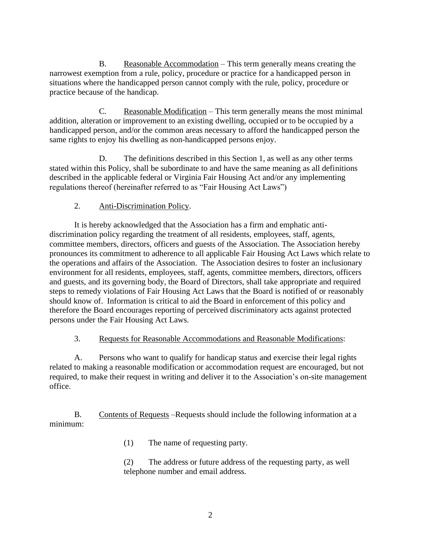B. Reasonable Accommodation – This term generally means creating the narrowest exemption from a rule, policy, procedure or practice for a handicapped person in situations where the handicapped person cannot comply with the rule, policy, procedure or practice because of the handicap.

C. Reasonable Modification – This term generally means the most minimal addition, alteration or improvement to an existing dwelling, occupied or to be occupied by a handicapped person, and/or the common areas necessary to afford the handicapped person the same rights to enjoy his dwelling as non-handicapped persons enjoy.

D. The definitions described in this Section 1, as well as any other terms stated within this Policy, shall be subordinate to and have the same meaning as all definitions described in the applicable federal or Virginia Fair Housing Act and/or any implementing regulations thereof (hereinafter referred to as "Fair Housing Act Laws")

## 2. Anti-Discrimination Policy.

It is hereby acknowledged that the Association has a firm and emphatic antidiscrimination policy regarding the treatment of all residents, employees, staff, agents, committee members, directors, officers and guests of the Association. The Association hereby pronounces its commitment to adherence to all applicable Fair Housing Act Laws which relate to the operations and affairs of the Association. The Association desires to foster an inclusionary environment for all residents, employees, staff, agents, committee members, directors, officers and guests, and its governing body, the Board of Directors, shall take appropriate and required steps to remedy violations of Fair Housing Act Laws that the Board is notified of or reasonably should know of. Information is critical to aid the Board in enforcement of this policy and therefore the Board encourages reporting of perceived discriminatory acts against protected persons under the Fair Housing Act Laws.

### 3. Requests for Reasonable Accommodations and Reasonable Modifications:

A. Persons who want to qualify for handicap status and exercise their legal rights related to making a reasonable modification or accommodation request are encouraged, but not required, to make their request in writing and deliver it to the Association's on-site management office.

B. Contents of Requests –Requests should include the following information at a minimum:

(1) The name of requesting party.

(2) The address or future address of the requesting party, as well telephone number and email address.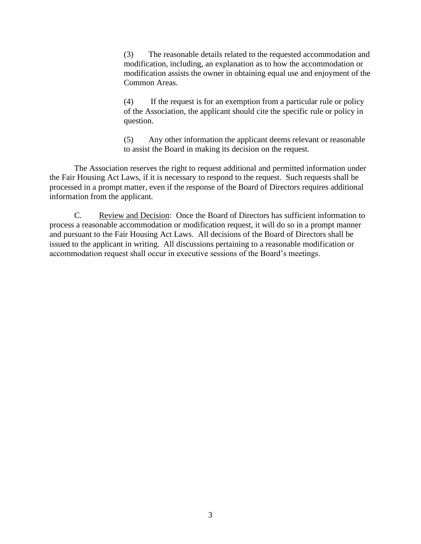(3) The reasonable details related to the requested accommodation and modification, including, an explanation as to how the accommodation or modification assists the owner in obtaining equal use and enjoyment of the Common Areas.

(4) If the request is for an exemption from a particular rule or policy of the Association, the applicant should cite the specific rule or policy in question.

(5) Any other information the applicant deems relevant or reasonable to assist the Board in making its decision on the request.

The Association reserves the right to request additional and permitted information under the Fair Housing Act Laws, if it is necessary to respond to the request. Such requests shall be processed in a prompt matter, even if the response of the Board of Directors requires additional information from the applicant.

C. Review and Decision: Once the Board of Directors has sufficient information to process a reasonable accommodation or modification request, it will do so in a prompt manner and pursuant to the Fair Housing Act Laws. All decisions of the Board of Directors shall be issued to the applicant in writing. All discussions pertaining to a reasonable modification or accommodation request shall occur in executive sessions of the Board's meetings.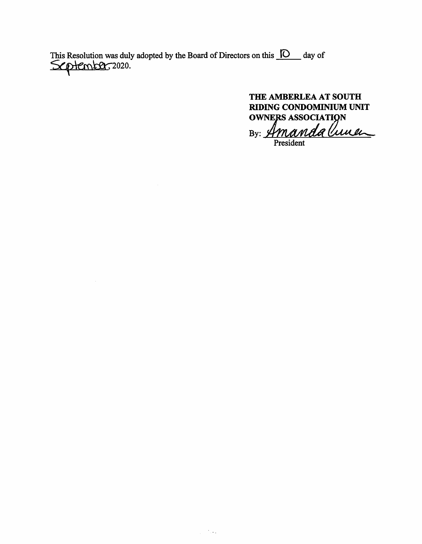This Resolution was duly adopted by the Board of Directors on this  $\Box$  day of  $\mathcal{L}$   $\Box$  day of

THE AMBERLEA AT SOUTH RIDING CONDOMINIUM UNIT **OWNERS ASSOCIATION** 

By: Amandalune President